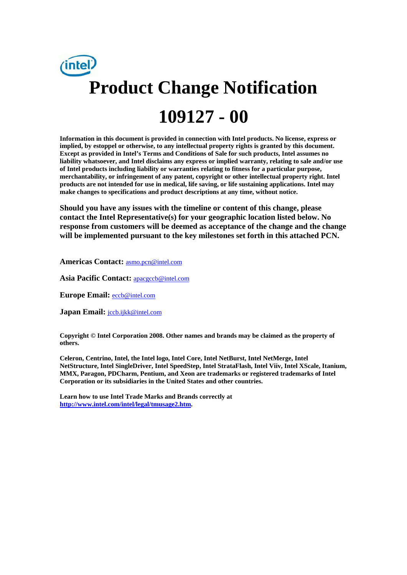

**Information in this document is provided in connection with Intel products. No license, express or implied, by estoppel or otherwise, to any intellectual property rights is granted by this document. Except as provided in Intel's Terms and Conditions of Sale for such products, Intel assumes no liability whatsoever, and Intel disclaims any express or implied warranty, relating to sale and/or use of Intel products including liability or warranties relating to fitness for a particular purpose, merchantability, or infringement of any patent, copyright or other intellectual property right. Intel products are not intended for use in medical, life saving, or life sustaining applications. Intel may make changes to specifications and product descriptions at any time, without notice.** 

**Should you have any issues with the timeline or content of this change, please contact the Intel Representative(s) for your geographic location listed below. No response from customers will be deemed as acceptance of the change and the change will be implemented pursuant to the key milestones set forth in this attached PCN.** 

**Americas Contact:** asmo.pcn@intel.com

Asia Pacific Contact: **apacgccb@intel.com** 

**Europe Email:** eccb@intel.com

**Japan Email:** jccb.ijkk@intel.com

**Copyright © Intel Corporation 2008. Other names and brands may be claimed as the property of others.**

**Celeron, Centrino, Intel, the Intel logo, Intel Core, Intel NetBurst, Intel NetMerge, Intel NetStructure, Intel SingleDriver, Intel SpeedStep, Intel StrataFlash, Intel Viiv, Intel XScale, Itanium, MMX, Paragon, PDCharm, Pentium, and Xeon are trademarks or registered trademarks of Intel Corporation or its subsidiaries in the United States and other countries.** 

**Learn how to use Intel Trade Marks and Brands correctly at http://www.intel.com/intel/legal/tmusage2.htm.**